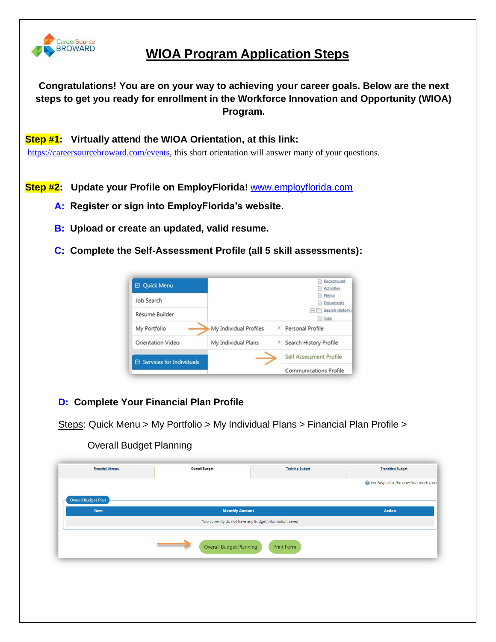

## **WIOA Program Application Steps**

**Congratulations! You are on your way to achieving your career goals. Below are the next steps to get you ready for enrollment in the Workforce Innovation and Opportunity (WIOA) Program.**

#### **Step #1: Virtually attend the WIOA Orientation, at this link:**

[https://careersourcebroward.com/events,](https://careersourcebroward.com/events) this short orientation will answer many of your questions.

**Step #2: Update your Profile on EmployFlorida!** [www.employflorida.com](http://www.employflorida.com/)

- **A: Register or sign into EmployFlorida's website.**
- **B: Upload or create an updated, valid resume.**
- **C: Complete the Self-Assessment Profile (all 5 skill assessments):**



### **D: Complete Your Financial Plan Profile**

Steps: Quick Menu > My Portfolio > My Individual Plans > Financial Plan Profile >

Overall Budget Planning

| <b>Financial Literacy</b> | <b>Overall Budget</b>                                                           | <b>Training Budget</b> | <b>Transition Budget</b>                        |
|---------------------------|---------------------------------------------------------------------------------|------------------------|-------------------------------------------------|
|                           |                                                                                 |                        | <b>O</b> For help click the question mark icon. |
| Overall Budget Plan       |                                                                                 |                        |                                                 |
| Item                      | <b>Monthly Amount</b><br>You currently do not have any Budget Information saved |                        | <b>Action</b>                                   |
|                           |                                                                                 |                        |                                                 |
|                           | Overall Budget Planning                                                         | Print Form             |                                                 |